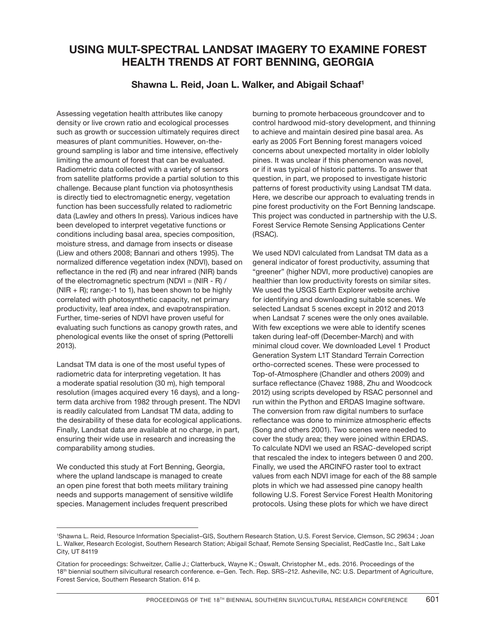## **USING MULT-SPECTRAL LANDSAT IMAGERY TO EXAMINE FOREST HEALTH TRENDS AT FORT BENNING, GEORGIA**

## **Shawna L. Reid, Joan L. Walker, and Abigail Schaaf1**

Assessing vegetation health attributes like canopy density or live crown ratio and ecological processes such as growth or succession ultimately requires direct measures of plant communities. However, on-theground sampling is labor and time intensive, effectively limiting the amount of forest that can be evaluated. Radiometric data collected with a variety of sensors from satellite platforms provide a partial solution to this challenge. Because plant function via photosynthesis is directly tied to electromagnetic energy, vegetation function has been successfully related to radiometric data (Lawley and others In press). Various indices have been developed to interpret vegetative functions or conditions including basal area, species composition, moisture stress, and damage from insects or disease (Liew and others 2008; Bannari and others 1995). The normalized difference vegetation index (NDVI), based on reflectance in the red (R) and near infrared (NIR) bands of the electromagnetic spectrum (NDVI =  $(NIR - R)$ ) (NIR + R); range:-1 to 1), has been shown to be highly correlated with photosynthetic capacity, net primary productivity, leaf area index, and evapotranspiration. Further, time-series of NDVI have proven useful for evaluating such functions as canopy growth rates, and phenological events like the onset of spring (Pettorelli 2013).

Landsat TM data is one of the most useful types of radiometric data for interpreting vegetation. It has a moderate spatial resolution (30 m), high temporal resolution (images acquired every 16 days), and a longterm data archive from 1982 through present. The NDVI is readily calculated from Landsat TM data, adding to the desirability of these data for ecological applications. Finally, Landsat data are available at no charge, in part, ensuring their wide use in research and increasing the comparability among studies.

We conducted this study at Fort Benning, Georgia, where the upland landscape is managed to create an open pine forest that both meets military training needs and supports management of sensitive wildlife species. Management includes frequent prescribed

burning to promote herbaceous groundcover and to control hardwood mid-story development, and thinning to achieve and maintain desired pine basal area. As early as 2005 Fort Benning forest managers voiced concerns about unexpected mortality in older loblolly pines. It was unclear if this phenomenon was novel, or if it was typical of historic patterns. To answer that question, in part, we proposed to investigate historic patterns of forest productivity using Landsat TM data. Here, we describe our approach to evaluating trends in pine forest productivity on the Fort Benning landscape. This project was conducted in partnership with the U.S. Forest Service Remote Sensing Applications Center (RSAC).

We used NDVI calculated from Landsat TM data as a general indicator of forest productivity, assuming that "greener" (higher NDVI, more productive) canopies are healthier than low productivity forests on similar sites. We used the USGS Earth Explorer website archive for identifying and downloading suitable scenes. We selected Landsat 5 scenes except in 2012 and 2013 when Landsat 7 scenes were the only ones available. With few exceptions we were able to identify scenes taken during leaf-off (December-March) and with minimal cloud cover. We downloaded Level 1 Product Generation System L1T Standard Terrain Correction ortho-corrected scenes. These were processed to Top-of-Atmosphere (Chandler and others 2009) and surface reflectance (Chavez 1988, Zhu and Woodcock 2012) using scripts developed by RSAC personnel and run within the Python and ERDAS Imagine software. The conversion from raw digital numbers to surface reflectance was done to minimize atmospheric effects (Song and others 2001). Two scenes were needed to cover the study area; they were joined within ERDAS. To calculate NDVI we used an RSAC-developed script that rescaled the index to integers between 0 and 200. Finally, we used the ARCINFO raster tool to extract values from each NDVI image for each of the 88 sample plots in which we had assessed pine canopy health following U.S. Forest Service Forest Health Monitoring protocols. Using these plots for which we have direct

<sup>1</sup> Shawna L. Reid, Resource Information Specialist–GIS, Southern Research Station, U.S. Forest Service, Clemson, SC 29634 ; Joan L. Walker, Research Ecologist, Southern Research Station; Abigail Schaaf, Remote Sensing Specialist, RedCastle Inc., Salt Lake City, UT 84119

Citation for proceedings: Schweitzer, Callie J.; Clatterbuck, Wayne K.; Oswalt, Christopher M., eds. 2016. Proceedings of the 18th biennial southern silvicultural research conference. e–Gen. Tech. Rep. SRS–212. Asheville, NC: U.S. Department of Agriculture, Forest Service, Southern Research Station. 614 p.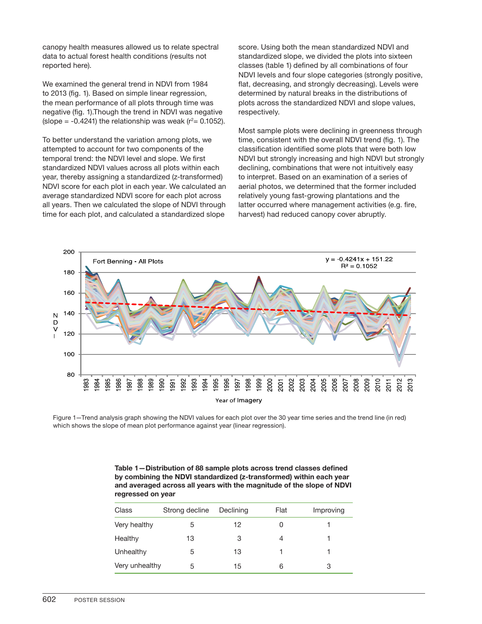canopy health measures allowed us to relate spectral data to actual forest health conditions (results not reported here).

We examined the general trend in NDVI from 1984 to 2013 (fig. 1). Based on simple linear regression, the mean performance of all plots through time was negative (fig. 1).Though the trend in NDVI was negative (slope = -0.4241) the relationship was weak (r $2$ = 0.1052).

To better understand the variation among plots, we attempted to account for two components of the temporal trend: the NDVI level and slope. We first standardized NDVI values across all plots within each year, thereby assigning a standardized (z-transformed) NDVI score for each plot in each year. We calculated an average standardized NDVI score for each plot across all years. Then we calculated the slope of NDVI through time for each plot, and calculated a standardized slope

score. Using both the mean standardized NDVI and standardized slope, we divided the plots into sixteen classes (table 1) defined by all combinations of four NDVI levels and four slope categories (strongly positive, flat, decreasing, and strongly decreasing). Levels were determined by natural breaks in the distributions of plots across the standardized NDVI and slope values, respectively.

Most sample plots were declining in greenness through time, consistent with the overall NDVI trend (fig. 1). The classification identified some plots that were both low NDVI but strongly increasing and high NDVI but strongly declining, combinations that were not intuitively easy to interpret. Based on an examination of a series of aerial photos, we determined that the former included relatively young fast-growing plantations and the latter occurred where management activities (e.g. fire, harvest) had reduced canopy cover abruptly.



Figure 1—Trend analysis graph showing the NDVI values for each plot over the 30 year time series and the trend line (in red) which shows the slope of mean plot performance against year (linear regression).

| Table 1–Distribution of 88 sample plots across trend classes defined  |
|-----------------------------------------------------------------------|
| by combining the NDVI standardized (z-transformed) within each year   |
| and averaged across all years with the magnitude of the slope of NDVI |
| regressed on year                                                     |

| Class          | Strong decline | Declining | Flat | Improving |
|----------------|----------------|-----------|------|-----------|
| Very healthy   | 5              | 12        | 0    |           |
| Healthy        | 13             | 3         | 4    |           |
| Unhealthy      | 5              | 13        |      |           |
| Very unhealthy | 5              | 15        | 6    | 3         |